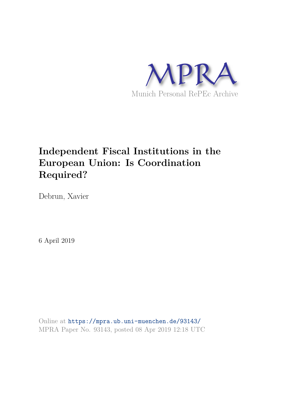

# **Independent Fiscal Institutions in the European Union: Is Coordination Required?**

Debrun, Xavier

6 April 2019

Online at https://mpra.ub.uni-muenchen.de/93143/ MPRA Paper No. 93143, posted 08 Apr 2019 12:18 UTC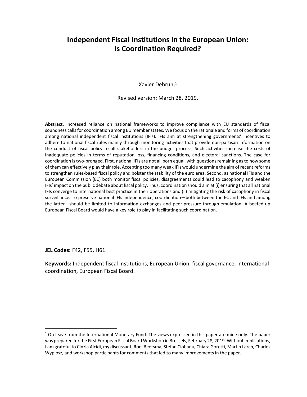# Independent Fiscal Institutions in the European Union: Is Coordination Required?

Xavier Debrun,<sup>1</sup>

Revised version: March 28, 2019.

Abstract. Increased reliance on national frameworks to improve compliance with EU standards of fiscal soundness calls for coordination among EU member states. We focus on the rationale and forms of coordination among national independent fiscal institutions (IFIs). IFIs aim at strengthening governments' incentives to adhere to national fiscal rules mainly through monitoring activities that provide non-partisan information on the conduct of fiscal policy to all stakeholders in the budget process. Such activities increase the costs of inadequate policies in terms of reputation loss, financing conditions, and electoral sanctions. The case for coordination is two-pronged. First, national IFIs are not all born equal, with questions remaining as to how some of them can effectively play their role. Accepting too many weak IFIs would undermine the aim of recent reforms to strengthen rules-based fiscal policy and bolster the stability of the euro area. Second, as national IFIs and the European Commission (EC) both monitor fiscal policies, disagreements could lead to cacophony and weaken IFIs' impact on the public debate about fiscal policy. Thus, coordination should aim at (i) ensuring that all national IFIs converge to international best practice in their operations and (ii) mitigating the risk of cacophony in fiscal surveillance. To preserve national IFIs independence, coordination—both between the EC and IFIs and among the latter—should be limited to information exchanges and peer-pressure-through-emulation. A beefed-up European Fiscal Board would have a key role to play in facilitating such coordination.

JEL Codes: F42, F55, H61.

 $\ddot{ }$ 

Keywords: Independent fiscal institutions, European Union, fiscal governance, international coordination, European Fiscal Board.

<sup>&</sup>lt;sup>1</sup> On leave from the International Monetary Fund. The views expressed in this paper are mine only. The paper was prepared for the First European Fiscal Board Workshop in Brussels, February 28, 2019. Without implications, I am grateful to Cinzia Alcidi, my discussant, Roel Beetsma, Stefan Ciobanu, Chiara Goretti, Martin Larch, Charles Wyplosz, and workshop participants for comments that led to many improvements in the paper.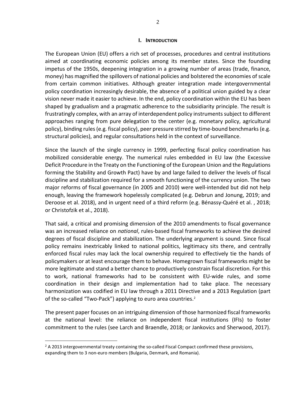#### I. INTRODUCTION

The European Union (EU) offers a rich set of processes, procedures and central institutions aimed at coordinating economic policies among its member states. Since the founding impetus of the 1950s, deepening integration in a growing number of areas (trade, finance, money) has magnified the spillovers of national policies and bolstered the economies of scale from certain common initiatives. Although greater integration made intergovernmental policy coordination increasingly desirable, the absence of a political union guided by a clear vision never made it easier to achieve. In the end, policy coordination within the EU has been shaped by gradualism and a pragmatic adherence to the subsidiarity principle. The result is frustratingly complex, with an array of interdependent policy instruments subject to different approaches ranging from pure delegation to the center (e.g. monetary policy, agricultural policy), binding rules (e.g. fiscal policy), peer pressure stirred by time-bound benchmarks (e.g. structural policies), and regular consultations held in the context of surveillance.

Since the launch of the single currency in 1999, perfecting fiscal policy coordination has mobilized considerable energy. The numerical rules embedded in EU law (the Excessive Deficit Procedure in the Treaty on the Functioning of the European Union and the Regulations forming the Stability and Growth Pact) have by and large failed to deliver the levels of fiscal discipline and stabilization required for a smooth functioning of the currency union. The two major reforms of fiscal governance (in 2005 and 2010) were well-intended but did not help enough, leaving the framework hopelessly complicated (e.g. Debrun and Jonung, 2019; and Deroose et al. 2018), and in urgent need of a third reform (e.g. Bénassy-Quéré et al. , 2018; or Christofzik et al., 2018).

That said, a critical and promising dimension of the 2010 amendments to fiscal governance was an increased reliance on *national*, rules-based fiscal frameworks to achieve the desired degrees of fiscal discipline and stabilization. The underlying argument is sound. Since fiscal policy remains inextricably linked to national politics, legitimacy sits there, and centrally enforced fiscal rules may lack the local ownership required to effectively tie the hands of policymakers or at least encourage them to behave. Homegrown fiscal frameworks might be more legitimate and stand a better chance to productively constrain fiscal discretion. For this to work, national frameworks had to be consistent with EU-wide rules, and some coordination in their design and implementation had to take place. The necessary harmonization was codified in EU law through a 2011 Directive and a 2013 Regulation (part of the so-called "Two-Pack") applying to euro area countries.<sup>2</sup>

The present paper focuses on an intriguing dimension of those harmonized fiscal frameworks at the national level: the reliance on independent fiscal institutions (IFIs) to foster commitment to the rules (see Larch and Braendle, 2018; or Jankovics and Sherwood, 2017).

 $2$  A 2013 intergovernmental treaty containing the so-called Fiscal Compact confirmed these provisions, expanding them to 3 non-euro members (Bulgaria, Denmark, and Romania).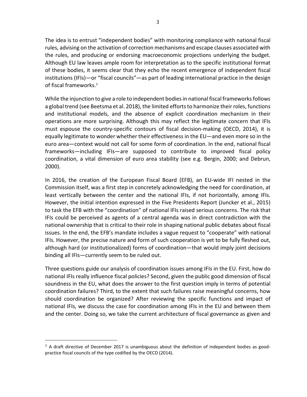The idea is to entrust "independent bodies" with monitoring compliance with national fiscal rules, advising on the activation of correction mechanisms and escape clauses associated with the rules, and producing or endorsing macroeconomic projections underlying the budget. Although EU law leaves ample room for interpretation as to the specific institutional format of these bodies, it seems clear that they echo the recent emergence of independent fiscal institutions (IFIs)—or "fiscal councils"—as part of leading international practice in the design of fiscal frameworks.<sup>3</sup>

While the injunction to give a role to independent bodies in national fiscal frameworks follows a global trend (see Beetsma et al. 2018), the limited efforts to harmonize their roles, functions and institutional models, and the absence of explicit coordination mechanism in their operations are more surprising. Although this may reflect the legitimate concern that IFIs must espouse the country-specific contours of fiscal decision-making (OECD, 2014), it is equally legitimate to wonder whether their effectiveness in the EU—and even more so in the euro area—context would not call for some form of coordination. In the end, national fiscal frameworks—including IFIs—are supposed to contribute to improved fiscal policy coordination, a vital dimension of euro area stability (see e.g. Bergin, 2000; and Debrun, 2000).

In 2016, the creation of the European Fiscal Board (EFB), an EU-wide IFI nested in the Commission itself, was a first step in concretely acknowledging the need for coordination, at least vertically between the center and the national IFIs, if not horizontally, among IFIs. However, the initial intention expressed in the Five Presidents Report (Juncker et al., 2015) to task the EFB with the "coordination" of national IFIs raised serious concerns. The risk that IFIs could be perceived as agents of a central agenda was in direct contradiction with the national ownership that is critical to their role in shaping national public debates about fiscal issues. In the end, the EFB's mandate includes a vague request to "cooperate" with national IFIs. However, the precise nature and form of such cooperation is yet to be fully fleshed out, although hard (or institutionalized) forms of coordination—that would imply joint decisions binding all IFIs—currently seem to be ruled out.

Three questions guide our analysis of coordination issues among IFIs in the EU. First, how do national IFIs really influence fiscal policies? Second, given the public good dimension of fiscal soundness in the EU, what does the answer to the first question imply in terms of potential coordination failures? Third, to the extent that such failures raise meaningful concerns, how should coordination be organized? After reviewing the specific functions and impact of national IFIs, we discuss the case for coordination among IFIs in the EU and between them and the center. Doing so, we take the current architecture of fiscal governance as given and

 $3$  A draft directive of December 2017 is unambiguous about the definition of independent bodies as goodpractice fiscal councils of the type codified by the OECD (2014).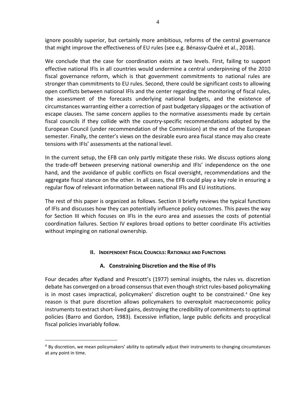ignore possibly superior, but certainly more ambitious, reforms of the central governance that might improve the effectiveness of EU rules (see e.g. Bénassy-Quéré et al., 2018).

We conclude that the case for coordination exists at two levels. First, failing to support effective national IFIs in all countries would undermine a central underpinning of the 2010 fiscal governance reform, which is that government commitments to national rules are stronger than commitments to EU rules. Second, there could be significant costs to allowing open conflicts between national IFIs and the center regarding the monitoring of fiscal rules, the assessment of the forecasts underlying national budgets, and the existence of circumstances warranting either a correction of past budgetary slippages or the activation of escape clauses. The same concern applies to the normative assessments made by certain fiscal councils if they collide with the country-specific recommendations adopted by the European Council (under recommendation of the Commission) at the end of the European semester. Finally, the center's views on the desirable euro area fiscal stance may also create tensions with IFIs' assessments at the national level.

In the current setup, the EFB can only partly mitigate these risks. We discuss options along the trade-off between preserving national ownership and IFIs' independence on the one hand, and the avoidance of public conflicts on fiscal oversight, recommendations and the aggregate fiscal stance on the other. In all cases, the EFB could play a key role in ensuring a regular flow of relevant information between national IFIs and EU institutions.

The rest of this paper is organized as follows. Section II briefly reviews the typical functions of IFIs and discusses how they can potentially influence policy outcomes. This paves the way for Section III which focuses on IFIs in the euro area and assesses the costs of potential coordination failures. Section IV explores broad options to better coordinate IFIs activities without impinging on national ownership.

# II. INDEPENDENT FISCAL COUNCILS: RATIONALE AND FUNCTIONS

# A. Constraining Discretion and the Rise of IFIs

Four decades after Kydland and Prescott's (1977) seminal insights, the rules vs. discretion debate has converged on a broad consensus that even though strict rules-based policymaking is in most cases impractical, policymakers' discretion ought to be constrained.<sup>4</sup> One key reason is that pure discretion allows policymakers to overexploit macroeconomic policy instruments to extract short-lived gains, destroying the credibility of commitments to optimal policies (Barro and Gordon, 1983). Excessive inflation, large public deficits and procyclical fiscal policies invariably follow.

-

 $4$  By discretion, we mean policymakers' ability to optimally adjust their instruments to changing circumstances at any point in time.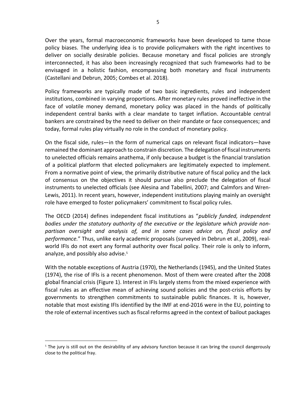Over the years, formal macroeconomic frameworks have been developed to tame those policy biases. The underlying idea is to provide policymakers with the right incentives to deliver on socially desirable policies. Because monetary and fiscal policies are strongly interconnected, it has also been increasingly recognized that such frameworks had to be envisaged in a holistic fashion, encompassing both monetary and fiscal instruments (Castellani and Debrun, 2005; Combes et al. 2018).

Policy frameworks are typically made of two basic ingredients, rules and independent institutions, combined in varying proportions. After monetary rules proved ineffective in the face of volatile money demand, monetary policy was placed in the hands of politically independent central banks with a clear mandate to target inflation. Accountable central bankers are constrained by the need to deliver on their mandate or face consequences; and today, formal rules play virtually no role in the conduct of monetary policy.

On the fiscal side, rules—in the form of numerical caps on relevant fiscal indicators—have remained the dominant approach to constrain discretion. The delegation of fiscal instruments to unelected officials remains anathema, if only because a budget is the financial translation of a political platform that elected policymakers are legitimately expected to implement. From a normative point of view, the primarily distributive nature of fiscal policy and the lack of consensus on the objectives it should pursue also preclude the delegation of fiscal instruments to unelected officials (see Alesina and Tabellini, 2007; and Calmfors and Wren-Lewis, 2011). In recent years, however, independent institutions playing mainly an oversight role have emerged to foster policymakers' commitment to fiscal policy rules.

The OECD (2014) defines independent fiscal institutions as "publicly funded, independent bodies under the statutory authority of the executive or the legislature which provide nonpartisan oversight and analysis of, and in some cases advice on, fiscal policy and performance." Thus, unlike early academic proposals (surveyed in Debrun et al., 2009), realworld IFIs do not exert any formal authority over fiscal policy. Their role is only to inform, analyze, and possibly also advise.<sup>5</sup>

With the notable exceptions of Austria (1970), the Netherlands (1945), and the United States (1974), the rise of IFIs is a recent phenomenon. Most of them were created after the 2008 global financial crisis (Figure 1). Interest in IFIs largely stems from the mixed experience with fiscal rules as an effective mean of achieving sound policies and the post-crisis efforts by governments to strengthen commitments to sustainable public finances. It is, however, notable that most existing IFIs identified by the IMF at end-2016 were in the EU, pointing to the role of external incentives such as fiscal reforms agreed in the context of bailout packages

-

<sup>&</sup>lt;sup>5</sup> The jury is still out on the desirability of any advisory function because it can bring the council dangerously close to the political fray.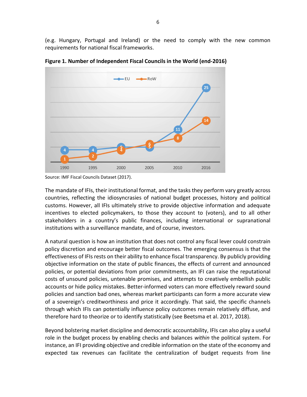(e.g. Hungary, Portugal and Ireland) or the need to comply with the new common requirements for national fiscal frameworks.



Figure 1. Number of Independent Fiscal Councils in the World (end-2016)

The mandate of IFIs, their institutional format, and the tasks they perform vary greatly across countries, reflecting the idiosyncrasies of national budget processes, history and political customs. However, all IFIs ultimately strive to provide objective information and adequate incentives to elected policymakers, to those they account to (voters), and to all other stakeholders in a country's public finances, including international or supranational institutions with a surveillance mandate, and of course, investors.

A natural question is how an institution that does not control any fiscal lever could constrain policy discretion and encourage better fiscal outcomes. The emerging consensus is that the effectiveness of IFIs rests on their ability to enhance fiscal transparency. By publicly providing objective information on the state of public finances, the effects of current and announced policies, or potential deviations from prior commitments, an IFI can raise the reputational costs of unsound policies, untenable promises, and attempts to creatively embellish public accounts or hide policy mistakes. Better-informed voters can more effectively reward sound policies and sanction bad ones, whereas market participants can form a more accurate view of a sovereign's creditworthiness and price it accordingly. That said, the specific channels through which IFIs can potentially influence policy outcomes remain relatively diffuse, and therefore hard to theorize or to identify statistically (see Beetsma et al. 2017, 2018).

Beyond bolstering market discipline and democratic accountability, IFIs can also play a useful role in the budget process by enabling checks and balances within the political system. For instance, an IFI providing objective and credible information on the state of the economy and expected tax revenues can facilitate the centralization of budget requests from line

Source: IMF Fiscal Councils Dataset (2017).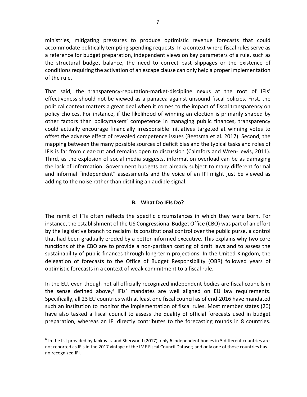ministries, mitigating pressures to produce optimistic revenue forecasts that could accommodate politically tempting spending requests. In a context where fiscal rules serve as a reference for budget preparation, independent views on key parameters of a rule, such as the structural budget balance, the need to correct past slippages or the existence of conditions requiring the activation of an escape clause can only help a proper implementation of the rule.

That said, the transparency-reputation-market-discipline nexus at the root of IFIs' effectiveness should not be viewed as a panacea against unsound fiscal policies. First, the political context matters a great deal when it comes to the impact of fiscal transparency on policy choices. For instance, if the likelihood of winning an election is primarily shaped by other factors than policymakers' competence in managing public finances, transparency could actually encourage financially irresponsible initiatives targeted at winning votes to offset the adverse effect of revealed competence issues (Beetsma et al. 2017). Second, the mapping between the many possible sources of deficit bias and the typical tasks and roles of IFIs is far from clear-cut and remains open to discussion (Calmfors and Wren-Lewis, 2011). Third, as the explosion of social media suggests, information overload can be as damaging the lack of information. Government budgets are already subject to many different formal and informal "independent" assessments and the voice of an IFI might just be viewed as adding to the noise rather than distilling an audible signal.

# B. What Do IFIs Do?

The remit of IFIs often reflects the specific circumstances in which they were born. For instance, the establishment of the US Congressional Budget Office (CBO) was part of an effort by the legislative branch to reclaim its constitutional control over the public purse, a control that had been gradually eroded by a better-informed executive. This explains why two core functions of the CBO are to provide a non-partisan costing of draft laws and to assess the sustainability of public finances through long-term projections. In the United Kingdom, the delegation of forecasts to the Office of Budget Responsibility (OBR) followed years of optimistic forecasts in a context of weak commitment to a fiscal rule.

In the EU, even though not all officially recognized independent bodies are fiscal councils in the sense defined above,<sup>6</sup> IFIs' mandates are well aligned on EU law requirements. Specifically, all 23 EU countries with at least one fiscal council as of end-2016 have mandated such an institution to monitor the implementation of fiscal rules. Most member states (20) have also tasked a fiscal council to assess the quality of official forecasts used in budget preparation, whereas an IFI directly contributes to the forecasting rounds in 8 countries.

<u>.</u>

 $^6$  In the list provided by Jankovicz and Sherwood (2017), only 6 independent bodies in 5 different countries are not reported as IFIs in the 2017 vintage of the IMF Fiscal Council Dataset; and only one of those countries has no recognized IFI.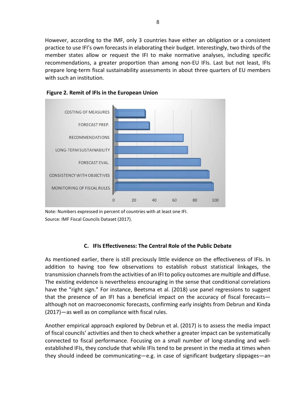However, according to the IMF, only 3 countries have either an obligation or a consistent practice to use IFI's own forecasts in elaborating their budget. Interestingly, two thirds of the member states allow or request the IFI to make normative analyses, including specific recommendations, a greater proportion than among non-EU IFIs. Last but not least, IFIs prepare long-term fiscal sustainability assessments in about three quarters of EU members with such an institution.





Note: Numbers expressed in percent of countries with at least one IFI. Source: IMF Fiscal Councils Dataset (2017).

#### C. IFIs Effectiveness: The Central Role of the Public Debate

As mentioned earlier, there is still preciously little evidence on the effectiveness of IFIs. In addition to having too few observations to establish robust statistical linkages, the transmission channels from the activities of an IFI to policy outcomes are multiple and diffuse. The existing evidence is nevertheless encouraging in the sense that conditional correlations have the "right sign." For instance, Beetsma et al. (2018) use panel regressions to suggest that the presence of an IFI has a beneficial impact on the accuracy of fiscal forecasts although not on macroeconomic forecasts, confirming early insights from Debrun and Kinda (2017)—as well as on compliance with fiscal rules.

Another empirical approach explored by Debrun et al. (2017) is to assess the media impact of fiscal councils' activities and then to check whether a greater impact can be systematically connected to fiscal performance. Focusing on a small number of long-standing and wellestablished IFIs, they conclude that while IFIs tend to be present in the media at times when they should indeed be communicating—e.g. in case of significant budgetary slippages—an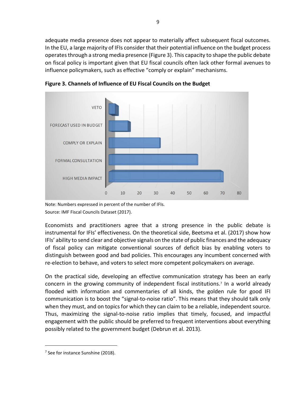adequate media presence does not appear to materially affect subsequent fiscal outcomes. In the EU, a large majority of IFIs consider that their potential influence on the budget process operates through a strong media presence (Figure 3). This capacity to shape the public debate on fiscal policy is important given that EU fiscal councils often lack other formal avenues to influence policymakers, such as effective "comply or explain" mechanisms.



Figure 3. Channels of Influence of EU Fiscal Councils on the Budget

Note: Numbers expressed in percent of the number of IFIs. Source: IMF Fiscal Councils Dataset (2017).

Economists and practitioners agree that a strong presence in the public debate is instrumental for IFIs' effectiveness. On the theoretical side, Beetsma et al. (2017) show how IFIs' ability to send clear and objective signals on the state of public finances and the adequacy of fiscal policy can mitigate conventional sources of deficit bias by enabling voters to distinguish between good and bad policies. This encourages any incumbent concerned with re-election to behave, and voters to select more competent policymakers on average.

On the practical side, developing an effective communication strategy has been an early concern in the growing community of independent fiscal institutions.<sup>7</sup> In a world already flooded with information and commentaries of all kinds, the golden rule for good IFI communication is to boost the "signal-to-noise ratio". This means that they should talk only when they must, and on topics for which they can claim to be a reliable, independent source. Thus, maximizing the signal-to-noise ratio implies that timely, focused, and impactful engagement with the public should be preferred to frequent interventions about everything possibly related to the government budget (Debrun et al. 2013).

<sup>&</sup>lt;sup>7</sup> See for instance Sunshine (2018).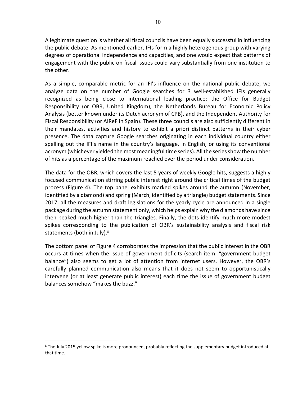A legitimate question is whether all fiscal councils have been equally successful in influencing the public debate. As mentioned earlier, IFIs form a highly heterogenous group with varying degrees of operational independence and capacities, and one would expect that patterns of engagement with the public on fiscal issues could vary substantially from one institution to the other.

As a simple, comparable metric for an IFI's influence on the national public debate, we analyze data on the number of Google searches for 3 well-established IFIs generally recognized as being close to international leading practice: the Office for Budget Responsibility (or OBR, United Kingdom), the Netherlands Bureau for Economic Policy Analysis (better known under its Dutch acronym of CPB), and the Independent Authority for Fiscal Responsibility (or AIReF in Spain). These three councils are also sufficiently different in their mandates, activities and history to exhibit a priori distinct patterns in their cyber presence. The data capture Google searches originating in each individual country either spelling out the IFI's name in the country's language, in English, or using its conventional acronym (whichever yielded the most meaningful time series). All the series show the number of hits as a percentage of the maximum reached over the period under consideration.

The data for the OBR, which covers the last 5 years of weekly Google hits, suggests a highly focused communication stirring public interest right around the critical times of the budget process (Figure 4). The top panel exhibits marked spikes around the autumn (November, identified by a diamond) and spring (March, identified by a triangle) budget statements. Since 2017, all the measures and draft legislations for the yearly cycle are announced in a single package during the autumn statement only, which helps explain why the diamonds have since then peaked much higher than the triangles. Finally, the dots identify much more modest spikes corresponding to the publication of OBR's sustainability analysis and fiscal risk statements (both in July).<sup>8</sup>

The bottom panel of Figure 4 corroborates the impression that the public interest in the OBR occurs at times when the issue of government deficits (search item: "government budget balance") also seems to get a lot of attention from internet users. However, the OBR's carefully planned communication also means that it does not seem to opportunistically intervene (or at least generate public interest) each time the issue of government budget balances somehow "makes the buzz."

<sup>&</sup>lt;sup>8</sup> The July 2015 yellow spike is more pronounced, probably reflecting the supplementary budget introduced at that time.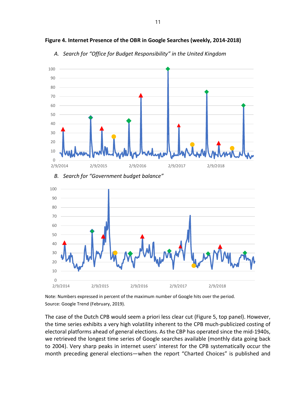

Figure 4. Internet Presence of the OBR in Google Searches (weekly, 2014-2018)

A. Search for "Office for Budget Responsibility" in the United Kingdom

Note: Numbers expressed in percent of the maximum number of Google hits over the period. Source: Google Trend (February, 2019).

The case of the Dutch CPB would seem a priori less clear cut (Figure 5, top panel). However, the time series exhibits a very high volatility inherent to the CPB much-publicized costing of electoral platforms ahead of general elections. As the CBP has operated since the mid-1940s, we retrieved the longest time series of Google searches available (monthly data going back to 2004). Very sharp peaks in internet users' interest for the CPB systematically occur the month preceding general elections—when the report "Charted Choices" is published and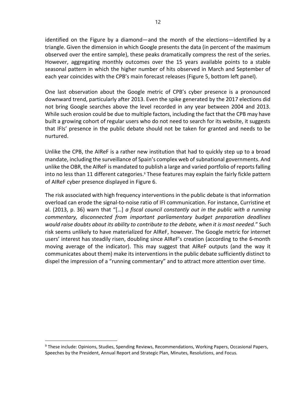identified on the Figure by a diamond—and the month of the elections—identified by a triangle. Given the dimension in which Google presents the data (in percent of the maximum observed over the entire sample), these peaks dramatically compress the rest of the series. However, aggregating monthly outcomes over the 15 years available points to a stable seasonal pattern in which the higher number of hits observed in March and September of each year coincides with the CPB's main forecast releases (Figure 5, bottom left panel).

One last observation about the Google metric of CPB's cyber presence is a pronounced downward trend, particularly after 2013. Even the spike generated by the 2017 elections did not bring Google searches above the level recorded in any year between 2004 and 2013. While such erosion could be due to multiple factors, including the fact that the CPB may have built a growing cohort of regular users who do not need to search for its website, it suggests that IFIs' presence in the public debate should not be taken for granted and needs to be nurtured.

Unlike the CPB, the AIReF is a rather new institution that had to quickly step up to a broad mandate, including the surveillance of Spain's complex web of subnational governments. And unlike the OBR, the AIReF is mandated to publish a large and varied portfolio of reports falling into no less than 11 different categories.<sup>9</sup> These features may explain the fairly fickle pattern of AIReF cyber presence displayed in Figure 6.

The risk associated with high frequency interventions in the public debate is that information overload can erode the signal-to-noise ratio of IFI communication. For instance, Curristine et al. (2013, p. 36) warn that "[...] a fiscal council constantly out in the public with a running commentary, disconnected from important parliamentary budget preparation deadlines would raise doubts about its ability to contribute to the debate, when it is most needed." Such risk seems unlikely to have materialized for AIReF, however. The Google metric for internet users' interest has steadily risen, doubling since AIReF's creation (according to the 6-month moving average of the indicator). This may suggest that AIReF outputs (and the way it communicates about them) make its interventions in the public debate sufficiently distinct to dispel the impression of a "running commentary" and to attract more attention over time.

<sup>&</sup>lt;sup>9</sup> These include: Opinions, Studies, Spending Reviews, Recommendations, Working Papers, Occasional Papers, Speeches by the President, Annual Report and Strategic Plan, Minutes, Resolutions, and Focus.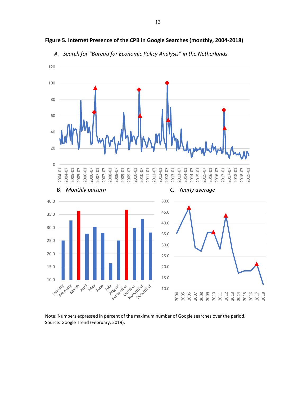

Figure 5. Internet Presence of the CPB in Google Searches (monthly, 2004-2018)



Note: Numbers expressed in percent of the maximum number of Google searches over the period. Source: Google Trend (February, 2019).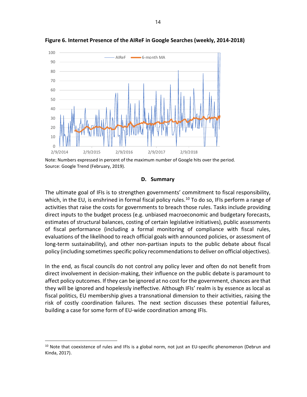

Figure 6. Internet Presence of the AIReF in Google Searches (weekly, 2014-2018)

Note: Numbers expressed in percent of the maximum number of Google hits over the period. Source: Google Trend (February, 2019).

#### D. Summary

The ultimate goal of IFIs is to strengthen governments' commitment to fiscal responsibility, which, in the EU, is enshrined in formal fiscal policy rules.<sup>10</sup> To do so, IFIs perform a range of activities that raise the costs for governments to breach those rules. Tasks include providing direct inputs to the budget process (e.g. unbiased macroeconomic and budgetary forecasts, estimates of structural balances, costing of certain legislative initiatives), public assessments of fiscal performance (including a formal monitoring of compliance with fiscal rules, evaluations of the likelihood to reach official goals with announced policies, or assessment of long-term sustainability), and other non-partisan inputs to the public debate about fiscal policy (including sometimes specific policy recommendations to deliver on official objectives).

In the end, as fiscal councils do not control any policy lever and often do not benefit from direct involvement in decision-making, their influence on the public debate is paramount to affect policy outcomes. If they can be ignored at no cost for the government, chances are that they will be ignored and hopelessly ineffective. Although IFIs' realm is by essence as local as fiscal politics, EU membership gives a transnational dimension to their activities, raising the risk of costly coordination failures. The next section discusses these potential failures, building a case for some form of EU-wide coordination among IFIs.

<sup>&</sup>lt;sup>10</sup> Note that coexistence of rules and IFIs is a global norm, not just an EU-specific phenomenon (Debrun and Kinda, 2017).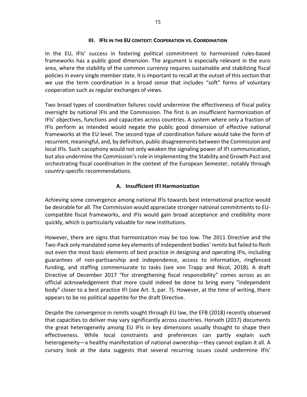#### III. IFIS IN THE EU CONTEXT: COOPERATION VS. COORDINATION

In the EU, IFIs' success in fostering political commitment to harmonized rules-based frameworks has a public good dimension. The argument is especially relevant in the euro area, where the stability of the common currency requires sustainable and stabilizing fiscal policies in every single member state. It is important to recall at the outset of this section that we use the term coordination in a broad sense that includes "soft" forms of voluntary cooperation such as regular exchanges of views.

Two broad types of coordination failures could undermine the effectiveness of fiscal policy oversight by national IFIs and the Commission. The first is an insufficient harmonization of IFIs' objectives, functions and capacities across countries. A system where only a fraction of IFIs perform as intended would negate the public good dimension of effective national frameworks at the EU level. The second type of coordination failure would take the form of recurrent, meaningful, and, by definition, public disagreements between the Commission and local IFIs. Such cacophony would not only weaken the signaling power of IFI communication, but also undermine the Commission's role in implementing the Stability and Growth Pact and orchestrating fiscal coordination in the context of the European Semester, notably through country-specific recommendations.

### A. Insufficient IFI Harmonization

Achieving some convergence among national IFIs towards best international practice would be desirable for all. The Commission would appreciate stronger national commitments to EUcompatible fiscal frameworks, and IFIs would gain broad acceptance and credibility more quickly, which is particularly valuable for new institutions.

However, there are signs that harmonization may be too low. The 2011 Directive and the Two-Pack only mandated some key elements of independent bodies' remits but failed to flesh out even the most basic elements of best practice in designing and operating IFIs, including guarantees of non-partisanship and independence, access to information, ringfenced funding, and staffing commensurate to tasks (see von Trapp and Nicol, 2018). A draft Directive of December 2017 "for strengthening fiscal responsibility" comes across as an official acknowledgement that more could indeed be done to bring every "independent body" closer to a best practice IFI (see Art. 3, par. 7). However, at the time of writing, there appears to be no political appetite for the draft Directive.

Despite the convergence in remits sought through EU law, the EFB (2018) recently observed that capacities to deliver may vary significantly across countries. Horvath (2017) documents the great heterogeneity among EU IFIs in key dimensions usually thought to shape their effectiveness. While local constraints and preferences can partly explain such heterogeneity—a healthy manifestation of national ownership—they cannot explain it all. A cursory look at the data suggests that several recurring issues could undermine IFIs'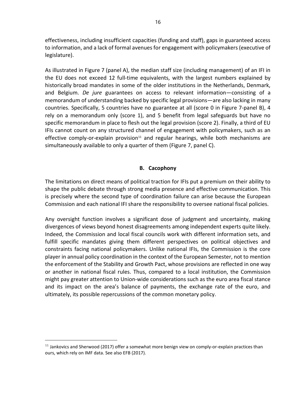effectiveness, including insufficient capacities (funding and staff), gaps in guaranteed access to information, and a lack of formal avenues for engagement with policymakers (executive of legislature).

As illustrated in Figure 7 (panel A), the median staff size (including management) of an IFI in the EU does not exceed 12 full-time equivalents, with the largest numbers explained by historically broad mandates in some of the older institutions in the Netherlands, Denmark, and Belgium. De jure guarantees on access to relevant information—consisting of a memorandum of understanding backed by specific legal provisions—are also lacking in many countries. Specifically, 5 countries have no guarantee at all (score 0 in Figure 7-panel B), 4 rely on a memorandum only (score 1), and 5 benefit from legal safeguards but have no specific memorandum in place to flesh out the legal provision (score 2). Finally, a third of EU IFIs cannot count on any structured channel of engagement with policymakers, such as an effective comply-or-explain provision $11$  and regular hearings, while both mechanisms are simultaneously available to only a quarter of them (Figure 7, panel C).

### B. Cacophony

The limitations on direct means of political traction for IFIs put a premium on their ability to shape the public debate through strong media presence and effective communication. This is precisely where the second type of coordination failure can arise because the European Commission and each national IFI share the responsibility to oversee national fiscal policies.

Any oversight function involves a significant dose of judgment and uncertainty, making divergences of views beyond honest disagreements among independent experts quite likely. Indeed, the Commission and local fiscal councils work with different information sets, and fulfill specific mandates giving them different perspectives on political objectives and constraints facing national policymakers. Unlike national IFIs, the Commission is the core player in annual policy coordination in the context of the European Semester, not to mention the enforcement of the Stability and Growth Pact, whose provisions are reflected in one way or another in national fiscal rules. Thus, compared to a local institution, the Commission might pay greater attention to Union-wide considerations such as the euro area fiscal stance and its impact on the area's balance of payments, the exchange rate of the euro, and ultimately, its possible repercussions of the common monetary policy.

-

 $11$  Jankovics and Sherwood (2017) offer a somewhat more benign view on comply-or-explain practices than ours, which rely on IMF data. See also EFB (2017).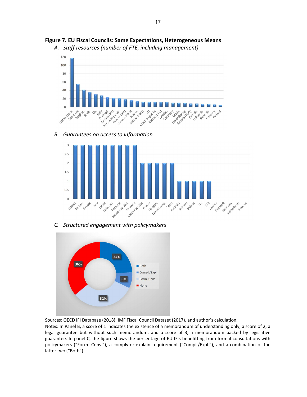

Figure 7. EU Fiscal Councils: Same Expectations, Heterogeneous Means

A. Staff resources (number of FTE, including management)

B. Guarantees on access to information



C. Structured engagement with policymakers



Sources: OECD IFI Database (2018), IMF Fiscal Council Dataset (2017), and author's calculation.

Notes: In Panel B, a score of 1 indicates the existence of a memorandum of understanding only, a score of 2, a legal guarantee but without such memorandum, and a score of 3, a memorandum backed by legislative guarantee. In panel C, the figure shows the percentage of EU IFIs benefitting from formal consultations with policymakers ("Form. Cons."), a comply-or-explain requirement ("Compl./Expl."), and a combination of the latter two ("Both").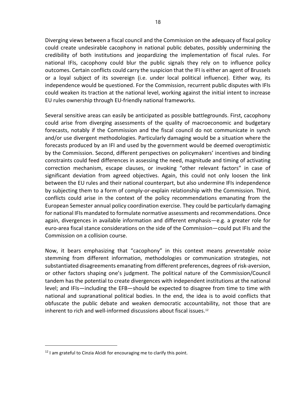Diverging views between a fiscal council and the Commission on the adequacy of fiscal policy could create undesirable cacophony in national public debates, possibly undermining the credibility of both institutions and jeopardizing the implementation of fiscal rules. For national IFIs, cacophony could blur the public signals they rely on to influence policy outcomes. Certain conflicts could carry the suspicion that the IFI is either an agent of Brussels or a loyal subject of its sovereign (i.e. under local political influence). Either way, its independence would be questioned. For the Commission, recurrent public disputes with IFIs could weaken its traction at the national level, working against the initial intent to increase EU rules ownership through EU-friendly national frameworks.

Several sensitive areas can easily be anticipated as possible battlegrounds. First, cacophony could arise from diverging assessments of the quality of macroeconomic and budgetary forecasts, notably if the Commission and the fiscal council do not communicate in synch and/or use divergent methodologies. Particularly damaging would be a situation where the forecasts produced by an IFI and used by the government would be deemed overoptimistic by the Commission. Second, different perspectives on policymakers' incentives and binding constraints could feed differences in assessing the need, magnitude and timing of activating correction mechanism, escape clauses, or invoking "other relevant factors" in case of significant deviation from agreed objectives. Again, this could not only loosen the link between the EU rules and their national counterpart, but also undermine IFIs independence by subjecting them to a form of comply-or-explain relationship with the Commission. Third, conflicts could arise in the context of the policy recommendations emanating from the European Semester annual policy coordination exercise. They could be particularly damaging for national IFIs mandated to formulate normative assessments and recommendations. Once again, divergences in available information and different emphasis—e.g. a greater role for euro-area fiscal stance considerations on the side of the Commission—could put IFIs and the Commission on a collision course.

Now, it bears emphasizing that "cacophony" in this context means preventable noise stemming from different information, methodologies or communication strategies, not substantiated disagreements emanating from different preferences, degrees of risk-aversion, or other factors shaping one's judgment. The political nature of the Commission/Council tandem has the potential to create divergences with independent institutions at the national level; and IFIs—including the EFB—should be expected to disagree from time to time with national and supranational political bodies. In the end, the idea is to avoid conflicts that obfuscate the public debate and weaken democratic accountability, not those that are inherent to rich and well-informed discussions about fiscal issues. $12$ 

 $12$  I am grateful to Cinzia Alcidi for encouraging me to clarify this point.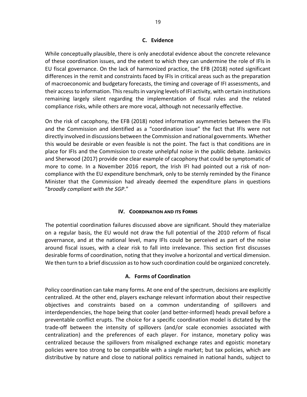#### C. Evidence

While conceptually plausible, there is only anecdotal evidence about the concrete relevance of these coordination issues, and the extent to which they can undermine the role of IFIs in EU fiscal governance. On the lack of harmonized practice, the EFB (2018) noted significant differences in the remit and constraints faced by IFIs in critical areas such as the preparation of macroeconomic and budgetary forecasts, the timing and coverage of IFI assessments, and their access to information. This results in varying levels of IFI activity, with certain institutions remaining largely silent regarding the implementation of fiscal rules and the related compliance risks, while others are more vocal, although not necessarily effective.

On the risk of cacophony, the EFB (2018) noted information asymmetries between the IFIs and the Commission and identified as a "coordination issue" the fact that IFIs were not directly involved in discussions between the Commission and national governments. Whether this would be desirable or even feasible is not the point. The fact is that conditions are in place for IFIs and the Commission to create unhelpful noise in the public debate. Jankovics and Sherwood (2017) provide one clear example of cacophony that could be symptomatic of more to come. In a November 2016 report, the Irish IFI had pointed out a risk of noncompliance with the EU expenditure benchmark, only to be sternly reminded by the Finance Minister that the Commission had already deemed the expenditure plans in questions "broadly compliant with the SGP."

#### IV. COORDINATION AND ITS FORMS

The potential coordination failures discussed above are significant. Should they materialize on a regular basis, the EU would not draw the full potential of the 2010 reform of fiscal governance, and at the national level, many IFIs could be perceived as part of the noise around fiscal issues, with a clear risk to fall into irrelevance. This section first discusses desirable forms of coordination, noting that they involve a horizontal and vertical dimension. We then turn to a brief discussion as to how such coordination could be organized concretely.

#### A. Forms of Coordination

Policy coordination can take many forms. At one end of the spectrum, decisions are explicitly centralized. At the other end, players exchange relevant information about their respective objectives and constraints based on a common understanding of spillovers and interdependencies, the hope being that cooler (and better-informed) heads prevail before a preventable conflict erupts. The choice for a specific coordination model is dictated by the trade-off between the intensity of spillovers (and/or scale economies associated with centralization) and the preferences of each player. For instance, monetary policy was centralized because the spillovers from misaligned exchange rates and egoistic monetary policies were too strong to be compatible with a single market; but tax policies, which are distributive by nature and close to national politics remained in national hands, subject to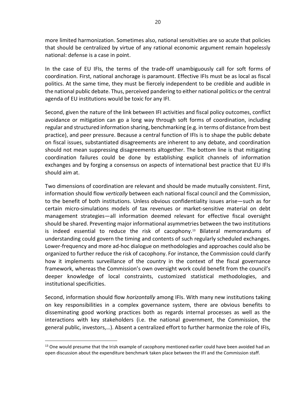more limited harmonization. Sometimes also, national sensitivities are so acute that policies that should be centralized by virtue of any rational economic argument remain hopelessly national: defense is a case in point.

In the case of EU IFIs, the terms of the trade-off unambiguously call for soft forms of coordination. First, national anchorage is paramount. Effective IFIs must be as local as fiscal politics. At the same time, they must be fiercely independent to be credible and audible in the national public debate. Thus, perceived pandering to either national politics or the central agenda of EU institutions would be toxic for any IFI.

Second, given the nature of the link between IFI activities and fiscal policy outcomes, conflict avoidance or mitigation can go a long way through soft forms of coordination, including regular and structured information sharing, benchmarking (e.g. in terms of distance from best practice), and peer pressure. Because a central function of IFIs is to shape the public debate on fiscal issues, substantiated disagreements are inherent to any debate, and coordination should not mean suppressing disagreements altogether. The bottom line is that mitigating coordination failures could be done by establishing explicit channels of information exchanges and by forging a consensus on aspects of international best practice that EU IFIs should aim at.

Two dimensions of coordination are relevant and should be made mutually consistent. First, information should flow vertically between each national fiscal council and the Commission, to the benefit of both institutions. Unless obvious confidentiality issues arise—such as for certain micro-simulations models of tax revenues or market-sensitive material on debt management strategies—all information deemed relevant for effective fiscal oversight should be shared. Preventing major informational asymmetries between the two institutions is indeed essential to reduce the risk of cacophony.<sup>13</sup> Bilateral memorandums of understanding could govern the timing and contents of such regularly scheduled exchanges. Lower-frequency and more ad-hoc dialogue on methodologies and approaches could also be organized to further reduce the risk of cacophony. For instance, the Commission could clarify how it implements surveillance of the country in the context of the fiscal governance framework, whereas the Commission's own oversight work could benefit from the council's deeper knowledge of local constraints, customized statistical methodologies, and institutional specificities.

Second, information should flow *horizontally* among IFIs. With many new institutions taking on key responsibilities in a complex governance system, there are obvious benefits to disseminating good working practices both as regards internal processes as well as the interactions with key stakeholders (i.e. the national government, the Commission, the general public, investors,…). Absent a centralized effort to further harmonize the role of IFIs,

 $13$  One would presume that the Irish example of cacophony mentioned earlier could have been avoided had an open discussion about the expenditure benchmark taken place between the IFI and the Commission staff.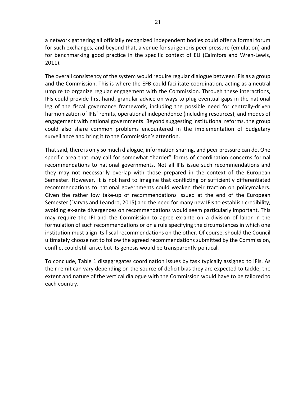a network gathering all officially recognized independent bodies could offer a formal forum for such exchanges, and beyond that, a venue for sui generis peer pressure (emulation) and for benchmarking good practice in the specific context of EU (Calmfors and Wren-Lewis, 2011).

The overall consistency of the system would require regular dialogue between IFIs as a group and the Commission. This is where the EFB could facilitate coordination, acting as a neutral umpire to organize regular engagement with the Commission. Through these interactions, IFIs could provide first-hand, granular advice on ways to plug eventual gaps in the national leg of the fiscal governance framework, including the possible need for centrally-driven harmonization of IFIs' remits, operational independence (including resources), and modes of engagement with national governments. Beyond suggesting institutional reforms, the group could also share common problems encountered in the implementation of budgetary surveillance and bring it to the Commission's attention.

That said, there is only so much dialogue, information sharing, and peer pressure can do. One specific area that may call for somewhat "harder" forms of coordination concerns formal recommendations to national governments. Not all IFIs issue such recommendations and they may not necessarily overlap with those prepared in the context of the European Semester. However, it is not hard to imagine that conflicting or sufficiently differentiated recommendations to national governments could weaken their traction on policymakers. Given the rather low take-up of recommendations issued at the end of the European Semester (Darvas and Leandro, 2015) and the need for many new IFIs to establish credibility, avoiding ex-ante divergences on recommendations would seem particularly important. This may require the IFI and the Commission to agree ex-ante on a division of labor in the formulation of such recommendations or on a rule specifying the circumstances in which one institution must align its fiscal recommendations on the other. Of course, should the Council ultimately choose not to follow the agreed recommendations submitted by the Commission, conflict could still arise, but its genesis would be transparently political.

To conclude, Table 1 disaggregates coordination issues by task typically assigned to IFIs. As their remit can vary depending on the source of deficit bias they are expected to tackle, the extent and nature of the vertical dialogue with the Commission would have to be tailored to each country.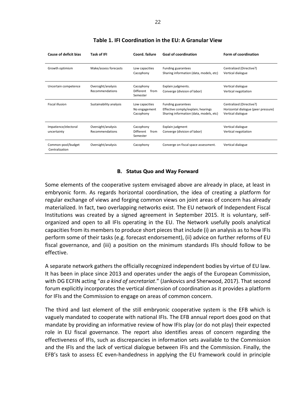| <b>Cause of deficit bias</b>         | Task of IFI                           | Coord, failure                               | <b>Goal of coordination</b>                                                                         | Form of coordination                                                                 |
|--------------------------------------|---------------------------------------|----------------------------------------------|-----------------------------------------------------------------------------------------------------|--------------------------------------------------------------------------------------|
| Growth optimism                      | Make/assess forecasts                 | Low capacities<br>Cacophony                  | Funding guarantees<br>Sharing information (data, models, etc)                                       | Centralized (Directive?)<br>Vertical dialogue                                        |
| Uncertain competence                 | Oversight/analysis<br>Recommendations | Cacophony<br>Different<br>from<br>Semester   | Explain judgments.<br>Converge (division of labor)                                                  | Vertical dialogue<br>Vertical negotiation                                            |
| <b>Fiscal illusion</b>               | Sustainability analysis               | Low capacities<br>No engagement<br>Cacophony | Funding guarantees<br>Effective comply/explain; hearings<br>Sharing information (data, models, etc) | Centralized (Directive?)<br>Horizontal dialogue (peer pressure)<br>Vertical dialogue |
| Impatience/electoral<br>uncertainty  | Oversight/analysis<br>Recommendations | Cacophony<br>Different<br>from<br>Semester   | Explain judgment<br>Converge (division of labor)                                                    | Vertical dialogue<br>Vertical negotiation                                            |
| Common-pool/budget<br>Centralization | Oversight/analysis                    | Cacophony                                    | Converge on fiscal space assessment.                                                                | Vertical dialogue                                                                    |

#### Table 1. IFI Coordination in the EU: A Granular View

#### B. Status Quo and Way Forward

Some elements of the cooperative system envisaged above are already in place, at least in embryonic form. As regards horizontal coordination, the idea of creating a platform for regular exchange of views and forging common views on joint areas of concern has already materialized. In fact, two overlapping networks exist. The EU network of Independent Fiscal Institutions was created by a signed agreement in September 2015. It is voluntary, selforganized and open to all IFIs operating in the EU. The Network usefully pools analytical capacities from its members to produce short pieces that include (i) an analysis as to how IFIs perform some of their tasks (e.g. forecast endorsement), (ii) advice on further reforms of EU fiscal governance, and (iii) a position on the minimum standards IFIs should follow to be effective.

A separate network gathers the officially recognized independent bodies by virtue of EU law. It has been in place since 2013 and operates under the aegis of the European Commission, with DG ECFIN acting "as a kind of secretariat." (Jankovics and Sherwood, 2017). That second forum explicitly incorporates the vertical dimension of coordination as it provides a platform for IFIs and the Commission to engage on areas of common concern.

The third and last element of the still embryonic cooperative system is the EFB which is vaguely mandated to cooperate with national IFIs. The EFB annual report does good on that mandate by providing an informative review of how IFIs play (or do not play) their expected role in EU fiscal governance. The report also identifies areas of concern regarding the effectiveness of IFIs, such as discrepancies in information sets available to the Commission and the IFIs and the lack of vertical dialogue between IFIs and the Commission. Finally, the EFB's task to assess EC even-handedness in applying the EU framework could in principle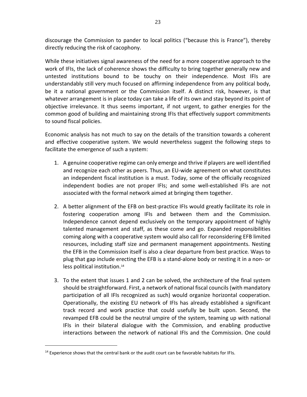discourage the Commission to pander to local politics ("because this is France"), thereby directly reducing the risk of cacophony.

While these initiatives signal awareness of the need for a more cooperative approach to the work of IFIs, the lack of coherence shows the difficulty to bring together generally new and untested institutions bound to be touchy on their independence. Most IFIs are understandably still very much focused on affirming independence from any political body, be it a national government or the Commission itself. A distinct risk, however, is that whatever arrangement is in place today can take a life of its own and stay beyond its point of objective irrelevance. It thus seems important, if not urgent, to gather energies for the common good of building and maintaining strong IFIs that effectively support commitments to sound fiscal policies.

Economic analysis has not much to say on the details of the transition towards a coherent and effective cooperative system. We would nevertheless suggest the following steps to facilitate the emergence of such a system:

- 1. A genuine cooperative regime can only emerge and thrive if players are well identified and recognize each other as peers. Thus, an EU-wide agreement on what constitutes an independent fiscal institution is a must. Today, some of the officially recognized independent bodies are not proper IFIs; and some well-established IFIs are not associated with the formal network aimed at bringing them together.
- 2. A better alignment of the EFB on best-practice IFIs would greatly facilitate its role in fostering cooperation among IFIs and between them and the Commission. Independence cannot depend exclusively on the temporary appointment of highly talented management and staff, as these come and go. Expanded responsibilities coming along with a cooperative system would also call for reconsidering EFB limited resources, including staff size and permanent management appointments. Nesting the EFB in the Commission itself is also a clear departure from best practice. Ways to plug that gap include erecting the EFB is a stand-alone body or nesting it in a non- or less political institution.<sup>14</sup>
- 3. To the extent that issues 1 and 2 can be solved, the architecture of the final system should be straightforward. First, a network of national fiscal councils (with mandatory participation of all IFIs recognized as such) would organize horizontal cooperation. Operationally, the existing EU network of IFIs has already established a significant track record and work practice that could usefully be built upon. Second, the revamped EFB could be the neutral umpire of the system, teaming up with national IFIs in their bilateral dialogue with the Commission, and enabling productive interactions between the network of national IFIs and the Commission. One could

<sup>&</sup>lt;sup>14</sup> Experience shows that the central bank or the audit court can be favorable habitats for IFIs.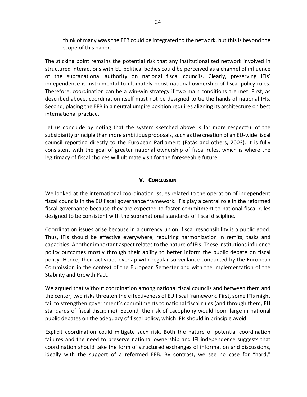think of many ways the EFB could be integrated to the network, but this is beyond the scope of this paper.

The sticking point remains the potential risk that any institutionalized network involved in structured interactions with EU political bodies could be perceived as a channel of influence of the supranational authority on national fiscal councils. Clearly, preserving IFIs' independence is instrumental to ultimately boost national ownership of fiscal policy rules. Therefore, coordination can be a win-win strategy if two main conditions are met. First, as described above, coordination itself must not be designed to tie the hands of national IFIs. Second, placing the EFB in a neutral umpire position requires aligning its architecture on best international practice.

Let us conclude by noting that the system sketched above is far more respectful of the subsidiarity principle than more ambitious proposals, such as the creation of an EU-wide fiscal council reporting directly to the European Parliament (Fatás and others, 2003). It is fully consistent with the goal of greater national ownership of fiscal rules, which is where the legitimacy of fiscal choices will ultimately sit for the foreseeable future.

#### V. CONCLUSION

We looked at the international coordination issues related to the operation of independent fiscal councils in the EU fiscal governance framework. IFIs play a central role in the reformed fiscal governance because they are expected to foster commitment to national fiscal rules designed to be consistent with the supranational standards of fiscal discipline.

Coordination issues arise because in a currency union, fiscal responsibility is a public good. Thus, IFIs should be effective everywhere, requiring harmonization in remits, tasks and capacities. Another important aspect relates to the nature of IFIs. These institutions influence policy outcomes mostly through their ability to better inform the public debate on fiscal policy. Hence, their activities overlap with regular surveillance conducted by the European Commission in the context of the European Semester and with the implementation of the Stability and Growth Pact.

We argued that without coordination among national fiscal councils and between them and the center, two risks threaten the effectiveness of EU fiscal framework. First, some IFIs might fail to strengthen government's commitments to national fiscal rules (and through them, EU standards of fiscal discipline). Second, the risk of cacophony would loom large in national public debates on the adequacy of fiscal policy, which IFIs should in principle avoid.

Explicit coordination could mitigate such risk. Both the nature of potential coordination failures and the need to preserve national ownership and IFI independence suggests that coordination should take the form of structured exchanges of information and discussions, ideally with the support of a reformed EFB. By contrast, we see no case for "hard,"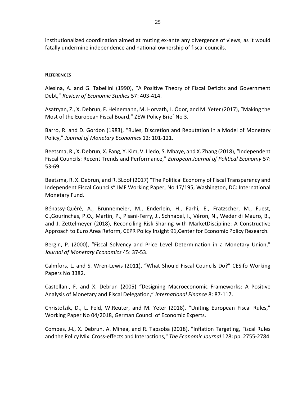institutionalized coordination aimed at muting ex-ante any divergence of views, as it would fatally undermine independence and national ownership of fiscal councils.

#### **REFERENCES**

Alesina, A. and G. Tabellini (1990), "A Positive Theory of Fiscal Deficits and Government Debt," Review of Economic Studies 57: 403-414.

Asatryan, Z., X. Debrun, F. Heinemann, M. Horvath, L. Ódor, and M. Yeter (2017), "Making the Most of the European Fiscal Board," ZEW Policy Brief No 3.

Barro, R. and D. Gordon (1983), "Rules, Discretion and Reputation in a Model of Monetary Policy," Journal of Monetary Economics 12: 101-121.

Beetsma, R., X. Debrun, X. Fang, Y. Kim, V. Lledo, S. Mbaye, and X. Zhang (2018), "Independent Fiscal Councils: Recent Trends and Performance," European Journal of Political Economy 57: 53-69.

Beetsma, R. X. Debrun, and R. SLoof (2017) "The Political Economy of Fiscal Transparency and Independent Fiscal Councils" IMF Working Paper, No 17/195, Washington, DC: International Monetary Fund.

Bénassy-Quéré, A., Brunnemeier, M., Enderlein, H., Farhi, E., Fratzscher, M., Fuest, C.,Gourinchas, P.O., Martin, P., Pisani-Ferry, J., Schnabel, I., Véron, N., Weder di Mauro, B., and J. Zettelmeyer (2018), Reconciling Risk Sharing with MarketDiscipline: A Constructive Approach to Euro Area Reform, CEPR Policy Insight 91,Center for Economic Policy Research.

Bergin, P. (2000), "Fiscal Solvency and Price Level Determination in a Monetary Union," Journal of Monetary Economics 45: 37-53.

Calmfors, L. and S. Wren-Lewis (2011), "What Should Fiscal Councils Do?" CESifo Working Papers No 3382.

Castellani, F. and X. Debrun (2005) "Designing Macroeconomic Frameworks: A Positive Analysis of Monetary and Fiscal Delegation," International Finance 8: 87-117.

Christofzik, D., L. Feld, W.Reuter, and M. Yeter (2018), "Uniting European Fiscal Rules," Working Paper No 04/2018, German Council of Economic Experts.

Combes, J-L, X. Debrun, A. Minea, and R. Tapsoba (2018), "Inflation Targeting, Fiscal Rules and the Policy Mix: Cross-effects and Interactions," The Economic Journal 128: pp. 2755-2784.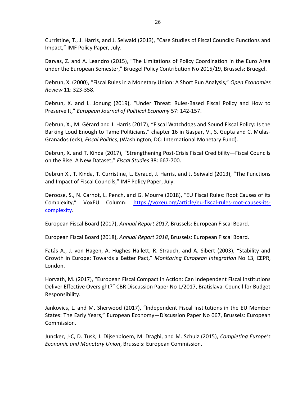Curristine, T., J. Harris, and J. Seiwald (2013), "Case Studies of Fiscal Councils: Functions and Impact," IMF Policy Paper, July.

Darvas, Z. and A. Leandro (2015), "The Limitations of Policy Coordination in the Euro Area under the European Semester," Bruegel Policy Contribution No 2015/19, Brussels: Bruegel.

Debrun, X. (2000), "Fiscal Rules in a Monetary Union: A Short Run Analysis," Open Economies Review 11: 323-358.

Debrun, X. and L. Jonung (2019), "Under Threat: Rules-Based Fiscal Policy and How to Preserve It," European Journal of Political Economy 57: 142-157.

Debrun, X., M. Gérard and J. Harris (2017), "Fiscal Watchdogs and Sound Fiscal Policy: Is the Barking Loud Enough to Tame Politicians," chapter 16 in Gaspar, V., S. Gupta and C. Mulas-Granados (eds), Fiscal Politics, (Washington, DC: International Monetary Fund).

Debrun, X. and T. Kinda (2017), "Strengthening Post-Crisis Fiscal Credibility—Fiscal Councils on the Rise. A New Dataset," Fiscal Studies 38: 667-700.

Debrun X., T. Kinda, T. Curristine, L. Eyraud, J. Harris, and J. Seiwald (2013), "The Functions and Impact of Fiscal Councils," IMF Policy Paper, July.

Deroose, S., N. Carnot, L. Pench, and G. Mourre (2018), "EU Fiscal Rules: Root Causes of its Complexity," VoxEU Column: https://voxeu.org/article/eu-fiscal-rules-root-causes-itscomplexity.

European Fiscal Board (2017), Annual Report 2017, Brussels: European Fiscal Board.

European Fiscal Board (2018), Annual Report 2018, Brussels: European Fiscal Board.

Fatás A., J. von Hagen, A. Hughes Hallett, R. Strauch, and A. Sibert (2003), "Stability and Growth in Europe: Towards a Better Pact," Monitoring European Integration No 13, CEPR, London.

Horvath, M. (2017), "European Fiscal Compact in Action: Can Independent Fiscal Institutions Deliver Effective Oversight?" CBR Discussion Paper No 1/2017, Bratislava: Council for Budget Responsibility.

Jankovics, L. and M. Sherwood (2017), "Independent Fiscal Institutions in the EU Member States: The Early Years," European Economy—Discussion Paper No 067, Brussels: European Commission.

Juncker, J-C, D. Tusk, J. Dijsenbloem, M. Draghi, and M. Schulz (2015), Completing Europe's Economic and Monetary Union, Brussels: European Commission.